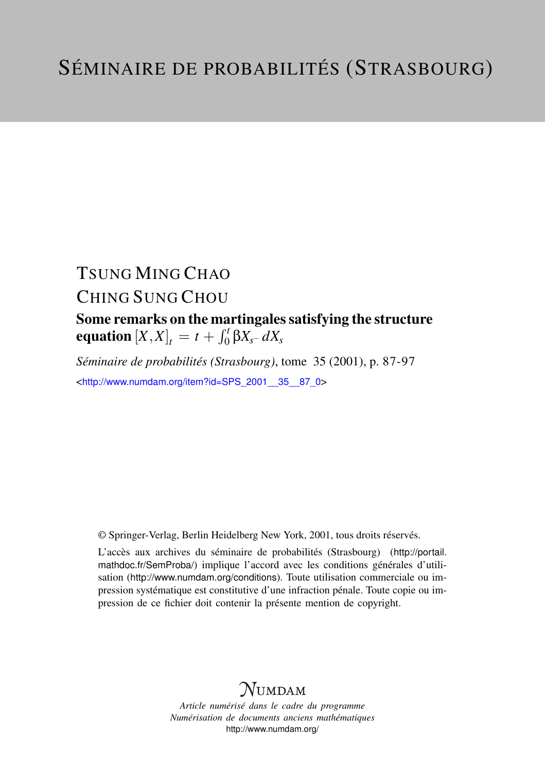# TSUNG MING CHAO CHING SUNG CHOU

Some remarks on the martingales satisfying the structure  ${\bf equation}\left[ X, X \right]_t = t + \int_0^t \beta X_{s^-} \, dX_s$ 

*Séminaire de probabilités (Strasbourg)*, tome 35 (2001), p. 87-97 <[http://www.numdam.org/item?id=SPS\\_2001\\_\\_35\\_\\_87\\_0](http://www.numdam.org/item?id=SPS_2001__35__87_0)>

© Springer-Verlag, Berlin Heidelberg New York, 2001, tous droits réservés.

L'accès aux archives du séminaire de probabilités (Strasbourg) ([http://portail.](http://portail.mathdoc.fr/SemProba/) [mathdoc.fr/SemProba/](http://portail.mathdoc.fr/SemProba/)) implique l'accord avec les conditions générales d'utilisation (<http://www.numdam.org/conditions>). Toute utilisation commerciale ou impression systématique est constitutive d'une infraction pénale. Toute copie ou impression de ce fichier doit contenir la présente mention de copyright.

# **NUMDAM**

*Article numérisé dans le cadre du programme Numérisation de documents anciens mathématiques* <http://www.numdam.org/>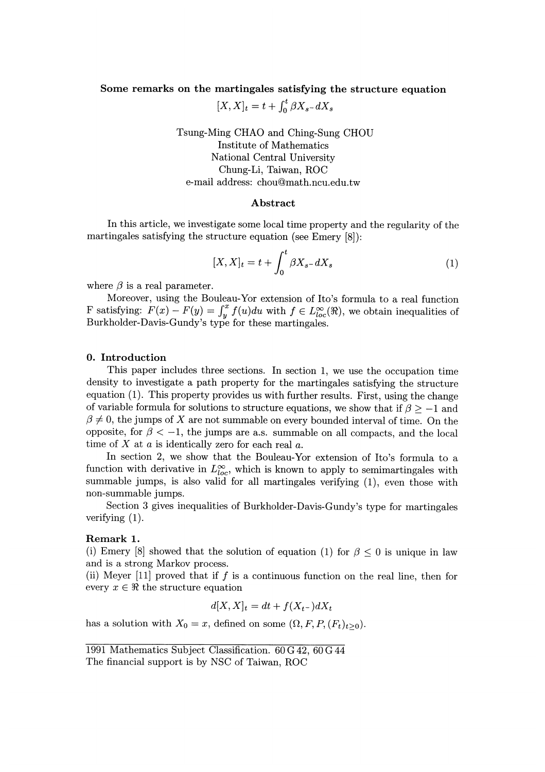## Some remarks on the martingales satisfying the structure equation

 $[X, X]_t = t + \int_0^t \beta X_{s-} dX_s$ 

Tsung-Ming CHAO and Ching-Sung CHOU Institute of Mathematics National Central University Chung-Li, Taiwan, ROC e-mail address: chou@math.ncu.edu.tw

### Abstract

In this article, we investigate some local time property and the regularity of the martingales satisfying the structure equation (see Emery [8]):

$$
[X,X]_t = t + \int_0^t \beta X_{s-} dX_s \tag{1}
$$

where  $\beta$  is a real parameter.

Moreover, using the Bouleau-Yor extension of Ito's formula to a real function F satisfying:  $F(x) - F(y) = \int_y^x f(u) du$  with  $f \in L^{\infty}_{loc}(\mathbb{R})$ , we obtain inequalities of Burkholder-Davis-Gundy's type for these martingales.

#### 0. Introduction

This paper includes three sections. In section 1, we use the occupation time density to investigate a path property for the martingales satisfying the structure equation (1). This property provides us with further results. First, using the change of variable formula for solutions to structure equations, we show that if  $\beta \ge -1$  and  $\beta \neq 0$ , the jumps of X are not summable on every bounded interval of time. On the opposite, for  $\beta < -1$ , the jumps are a.s. summable on all compacts, and the local time of  $X$  at  $a$  is identically zero for each real  $a$ .

In section 2, we show that the Bouleau-Yor extension of Ito's formula to a function with derivative in  $L^{\infty}_{loc}$ , which is known to apply to semimartingales with summable jumps, is also valid for all martingales verifying (1), even those with non-summable jumps.

Section 3 gives inequalities of Burkholder-Davis-Gundy's type for martingales verifying (1).

## Remark 1.

(i) Emery [8] showed that the solution of equation (1) for  $\beta \leq 0$  is unique in law and is a strong Markov process.

(ii) Meyer  $[11]$  proved that if f is a continuous function on the real line, then for every  $x \in \Re$  the structure equation

$$
d[X,X]_t = dt + f(X_{t-})dX_t
$$

has a solution with  $X_0 = x$ , defined on some  $(\Omega, F, P, (F_t)_{t>0})$ .

<sup>1991</sup> Mathematics Subject Classification. 60 G 42, 60 G 44 The financial support is by NSC of Taiwan, ROC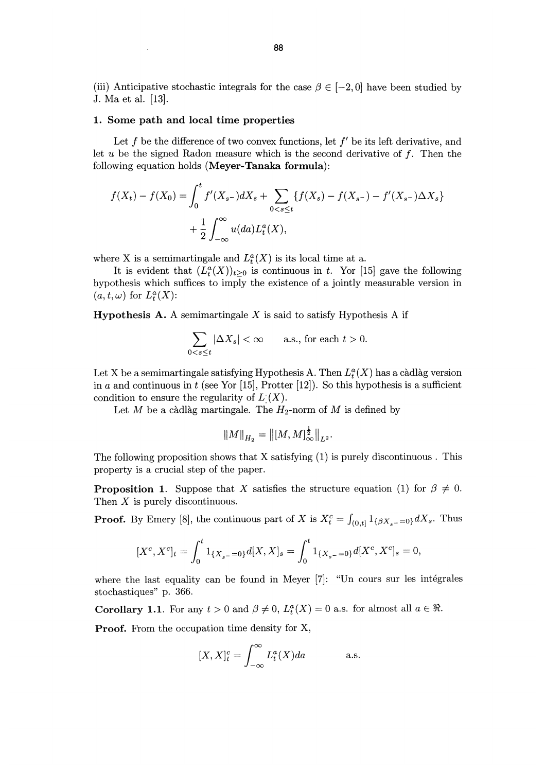(iii) Anticipative stochastic integrals for the case  $\beta \in [-2, 0]$  have been studied by J. Ma et al. [13].

# 1. Some path and local time properties

Let f be the difference of two convex functions, let  $f'$  be its left derivative, and let  $u$  be the signed Radon measure which is the second derivative of  $f$ . Then the following equation holds (Meyer-Tanaka formula):

$$
f(X_t) - f(X_0) = \int_0^t f'(X_{s-})dX_s + \sum_{0 < s \le t} \{f(X_s) - f(X_{s-}) - f'(X_{s-})\Delta X_s\} + \frac{1}{2} \int_{-\infty}^\infty u(da) L_t^a(X),
$$

where X is a semimartingale and  $L_t^a(X)$  is its local time at a.

It is evident that  $(L_t^a(X))_{t>0}$  is continuous in t. Yor [15] gave the following hypothesis which suffices to imply the existence of a jointly measurable version in  $(a, t, \omega)$  for  $L^a_t(X)$ :

**Hypothesis A.** A semimartingale  $X$  is said to satisfy Hypothesis A if

$$
\sum_{0 < s \le t} |\Delta X_s| < \infty \qquad \text{a.s., for each } t > 0.
$$

Let X be a semimartingale satisfying Hypothesis A. Then  $L_t^a(X)$  has a càdlàg version in a and continuous in t (see Yor [15], Protter [12]). So this hypothesis is a sufficient condition to ensure the regularity of  $L<sup>c</sup>(X)$ .

Let M be a càdlàg martingale. The  $H_2$ -norm of M is defined by

$$
||M||_{H_2} = ||[M, M]_{\infty}^{\frac{1}{2}}||_{L^2}.
$$

The following proposition shows that X satisfying (1) is purely discontinuous . This property is a crucial step of the paper.

**Proposition 1.** Suppose that X satisfies the structure equation (1) for  $\beta \neq 0$ . Then  $X$  is purely discontinuous.

**Proof.** By Emery [8], the continuous part of X is  $X_t^c = \int_{(0,t]} 1_{\{\beta X_s = 0\}} dX_s$ . Thus

$$
[X^c, X^c]_t = \int_0^t 1_{\{X_{s^-}=0\}} d[X,X]_s = \int_0^t 1_{\{X_{s^-}=0\}} d[X^c, X^c]_s = 0,
$$

where the last equality can be found in Meyer [7]: "Un cours sur les intégrales stochastiques" p. 366.

**Corollary 1.1.** For any  $t > 0$  and  $\beta \neq 0$ ,  $L_t^a(X) = 0$  a.s. for almost all  $a \in \mathbb{R}$ .

Proof. From the occupation time density for X,

$$
[X, X]_t^c = \int_{-\infty}^{\infty} L_t^a(X) da \qquad \text{a.s.}
$$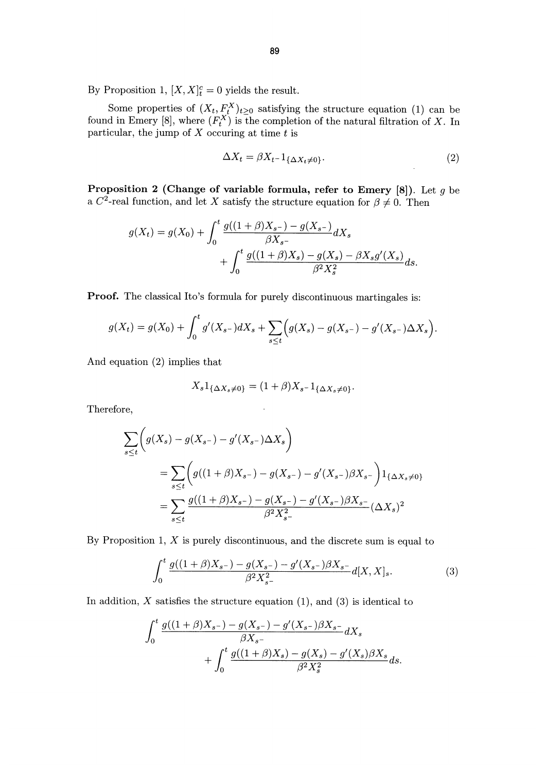By Proposition 1,  $[X, X]_t^c = 0$  yields the result.

Some properties of  $(X_t, F_t^X)_{t\geq 0}$  satisfying the structure equation (1) can be found in Emery [8], where  $(F_t^X)$  is the completion of the natural filtration of X. In particular, the jump of  $X$  occuring at time  $t$  is

$$
\Delta X_t = \beta X_{t-1} \{ \Delta X_t \neq 0 \}.
$$
\n<sup>(2)</sup>

Proposition 2 (Change of variable formula, refer to Emery  $[8]$ ). Let q be a  $C^2$ -real function, and let X satisfy the structure equation for  $\beta \neq 0$ . Then

$$
g(X_t) = g(X_0) + \int_0^t \frac{g((1+\beta)X_{s^-}) - g(X_{s^-})}{\beta X_{s^-}} dX_s
$$
  
+ 
$$
\int_0^t \frac{g((1+\beta)X_s) - g(X_s) - \beta X_s g'(X_s)}{\beta^2 X_s^2} ds.
$$

Proof. The classical Ito's formula for purely discontinuous martingales is:

$$
g(X_t) = g(X_0) + \int_0^t g'(X_{s-})dX_s + \sum_{s \le t} \Big(g(X_s) - g(X_{s-}) - g'(X_{s-})\Delta X_s\Big).
$$

And equation (2) implies that

$$
X_s 1_{\{\Delta X_s \neq 0\}} = (1+\beta)X_{s-} 1_{\{\Delta X_s \neq 0\}}.
$$

Therefore,

$$
\sum_{s\leq t} \left( g(X_s) - g(X_{s-}) - g'(X_{s-})\Delta X_s \right)
$$
\n
$$
= \sum_{s\leq t} \left( g((1+\beta)X_{s-}) - g(X_{s-}) - g'(X_{s-})\beta X_{s-} \right) 1_{\{\Delta X_s \neq 0\}}
$$
\n
$$
= \sum_{s\leq t} \frac{g((1+\beta)X_{s-}) - g(X_{s-}) - g'(X_{s-})\beta X_{s-}}{\beta^2 X_{s-}^2} (\Delta X_s)^2
$$

By Proposition 1,  $X$  is purely discontinuous, and the discrete sum is equal to

$$
\int_0^t \frac{g((1+\beta)X_{s^-}) - g(X_{s^-}) - g'(X_{s^-})\beta X_{s^-}}{\beta^2 X_{s^-}^2} d[X,X]_s.
$$
 (3)

In addition,  $X$  satisfies the structure equation (1), and (3) is identical to

$$
\int_0^t \frac{g((1+\beta)X_{s^-}) - g(X_{s^-}) - g'(X_{s^-})\beta X_{s^-}}{\beta X_{s^-}} dX_s + \int_0^t \frac{g((1+\beta)X_s) - g(X_s) - g'(X_s)\beta X_s}{\beta^2 X_s^2} ds.
$$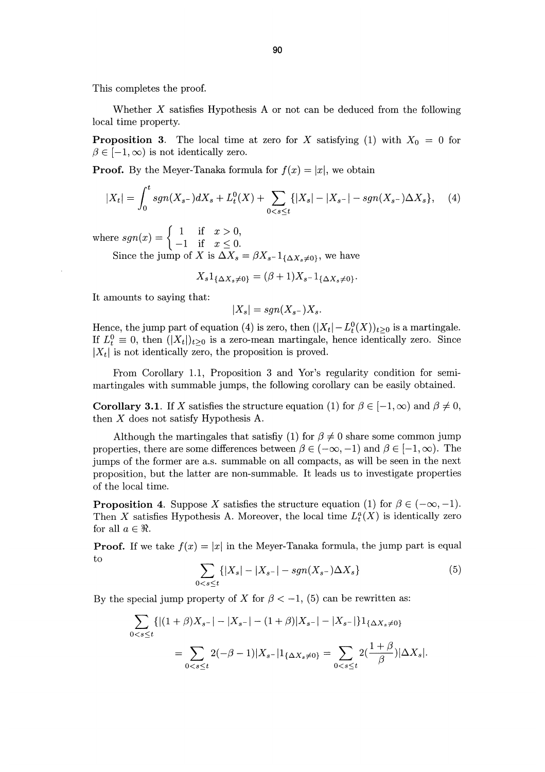This completes the proof.

Whether  $X$  satisfies Hypothesis A or not can be deduced from the following local time property.

**Proposition 3.** The local time at zero for X satisfying (1) with  $X_0 = 0$  for  $\beta \in [-1, \infty)$  is not identically zero.

**Proof.** By the Meyer-Tanaka formula for  $f(x) = |x|$ , we obtain

$$
|X_t| = \int_0^t sgn(X_{s-})dX_s + L_t^0(X) + \sum_{0 < s \le t} \{|X_s| - |X_{s-}| - sgn(X_{s-})\Delta X_s\}, \quad (4)
$$

where  $sgn(x) = \begin{cases} 1 & \text{if } x > 0, \\ 1 & \text{if } x > 0. \end{cases}$ 

Since the jump of X is  $\Delta X_s = \beta X_{s-} 1_{\{\Delta X_s \neq 0\}}$ , we have

$$
X_s 1_{\{\Delta X_s \neq 0\}} = (\beta + 1)X_{s-} 1_{\{\Delta X_s \neq 0\}}.
$$

It amounts to saying that:

$$
|X_s| = sgn(X_{s^-})X_s.
$$

Hence, the jump part of equation (4) is zero, then  $(|X_t| - L_t^0(X))_{t>0}$  is a martingale. If  $L_t^0 \equiv 0$ , then  $(|X_t|)_{t \geq 0}$  is a zero-mean martingale, hence identically zero. Since  $|X_t|$  is not identically zero, the proposition is proved.

From Corollary 1.1, Proposition 3 and Yor's regularity condition for semimartingales with summable jumps, the following corollary can be easily obtained.

**Corollary 3.1**. If X satisfies the structure equation (1) for  $\beta \in [-1, \infty)$  and  $\beta \neq 0$ , then  $X$  does not satisfy Hypothesis A.

Although the martingales that satisfiy (1) for  $\beta \neq 0$  share some common jump properties, there are some differences between  $\beta \in (-\infty, -1)$  and  $\beta \in [-1, \infty)$ . The jumps of the former are a.s. summable on all compacts, as will be seen in the next proposition, but the latter are non-summable. It leads us to investigate properties of the local time.

**Proposition 4.** Suppose X satisfies the structure equation (1) for  $\beta \in (-\infty, -1)$ . Then X satisfies Hypothesis A. Moreover, the local time  $L_t^a(X)$  is identically zero for all  $a \in \Re$ .

**Proof.** If we take  $f(x) = |x|$  in the Meyer-Tanaka formula, the jump part is equal to

$$
\sum_{0 < s \le t} \{ |X_s| - |X_{s-}| - \operatorname{sgn}(X_{s-}) \Delta X_s \} \tag{5}
$$

By the special jump property of X for  $\beta < -1$ , (5) can be rewritten as:

$$
\sum_{0 < s \le t} \{ |(1+\beta)X_{s^-}| - |X_{s^-}| - (1+\beta)|X_{s^-}| - |X_{s^-}| \} 1_{\{\Delta X_s \ne 0\}}
$$
\n
$$
= \sum_{0 < s \le t} 2(-\beta - 1)|X_{s^-}| 1_{\{\Delta X_s \ne 0\}} = \sum_{0 < s \le t} 2(\frac{1+\beta}{\beta}) |\Delta X_s|.
$$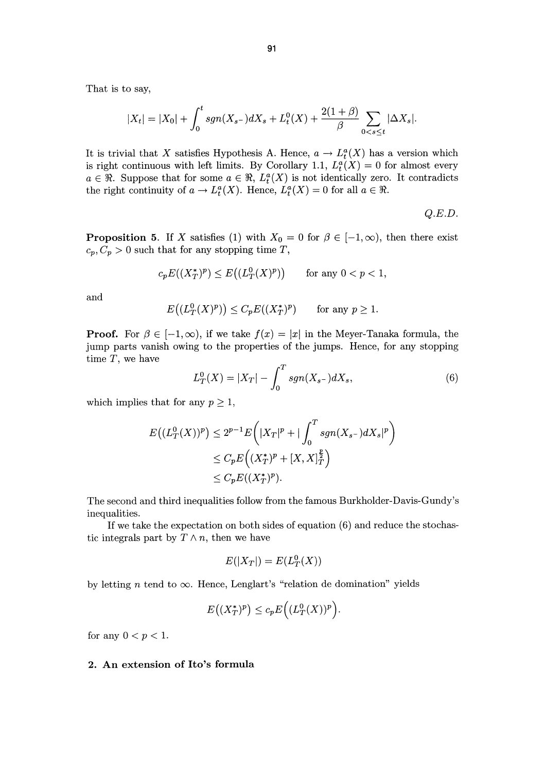That is to say,

$$
|X_t| = |X_0| + \int_0^t sgn(X_{s-})dX_s + L_t^0(X) + \frac{2(1+\beta)}{\beta} \sum_{0 < s \le t} |\Delta X_s|.
$$

It is trivial that X satisfies Hypothesis A. Hence,  $a \to L_t^a(X)$  has a version which is right continuous with left limits. By Corollary 1.1,  $L_t^a(X) = 0$  for almost every  $a \in \mathbb{R}$ . Suppose that for some  $a \in \mathbb{R}$ ,  $L^a(\mathcal{X})$  is not identically zero. It contradicts the right continuity of  $a \to L_t^a(X)$ . Hence,  $L_t^a(X) = 0$  for all  $a \in \mathbb{R}$ .

Q.E.D.

**Proposition 5.** If X satisfies (1) with  $X_0 = 0$  for  $\beta \in [-1, \infty)$ , then there exist  $c_p, C_p > 0$  such that for any stopping time T,

$$
c_p E((X_T^*)^p) \le E\big((L_T^0(X)^p)\big) \qquad \text{for any } 0 < p < 1,
$$

and

$$
E\big((L_T^0(X)^p)\big) \le C_p E((X_T^*)^p) \quad \text{for any } p \ge 1.
$$

**Proof.** For  $\beta \in [-1, \infty)$ , if we take  $f(x) = |x|$  in the Meyer-Tanaka formula, the jump parts vanish owing to the properties of the jumps. Hence, for any stopping time  $T$ , we have

$$
L_T^0(X) = |X_T| - \int_0^T sgn(X_{s-})dX_s,\tag{6}
$$

which implies that for any  $p \geq 1$ ,

$$
E((L_T^0(X))^p) \le 2^{p-1} E\left(|X_T|^p + |\int_0^T sgn(X_{s-})dX_s|^p\right) \\
\le C_p E\left((X_T^*)^p + [X, X]_T^{\frac{p}{2}}\right) \\
\le C_p E((X_T^*)^p).
$$

The second and third inequalities follow from the famous Burkholder-Davis-Gundy's inequalities.

If we take the expectation on both sides of equation (6) and reduce the stochastic integrals part by  $T \wedge n$ , then we have

$$
E(|X_T|) = E(L_T^0(X))
$$

by letting *n* tend to  $\infty$ . Hence, Lenglart's "relation de domination" yields

$$
E\big((X_T^*)^p\big) \le c_p E\Big((L_T^0(X))^p\Big).
$$

for any  $0 < p < 1$ .

### 2. An extension of Ito's formula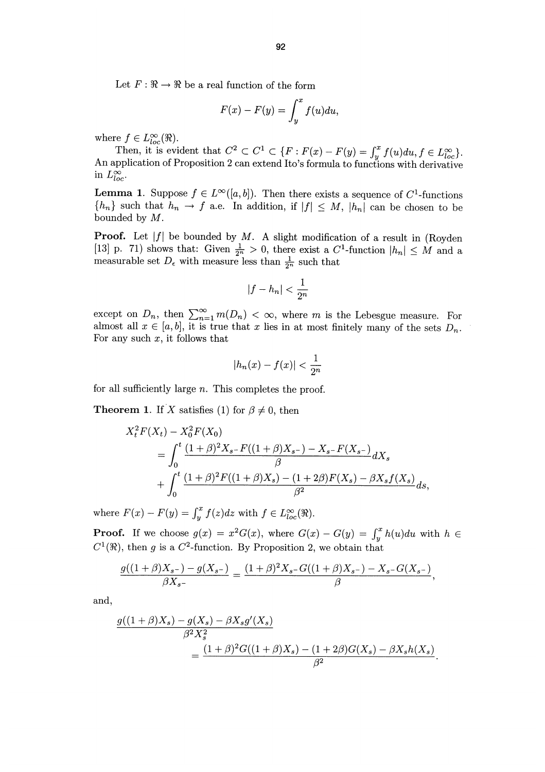Let  $F: \mathbb{R} \to \mathbb{R}$  be a real function of the form

$$
F(x) - F(y) = \int_{y}^{x} f(u) du,
$$

where  $f \in L^{\infty}_{loc}(\Re)$ .

Then, it is evident that  $C^2 \subset C^1 \subset \{F : F(x) - F(y) = \int_y^x f(u)du, f \in L^{\infty}_{loc}\}.$ An application of Proposition 2 can extend Ito's formula to functions with derivative in  $L_{loc}^{\infty}$ .

**Lemma 1.** Suppose  $f \in L^{\infty}([a, b])$ . Then there exists a sequence of  $C^1$ -functions  ${h_n}$  such that  $h_n \to f$  a.e. In addition, if  $|f| \leq M$ ,  $|h_n|$  can be chosen to be bounded by M.

**Proof.** Let  $|f|$  be bounded by M. A slight modification of a result in (Royden [13] p. 71) shows that: Given  $\frac{1}{2^n} > 0$ , there exist a  $C^1$ -function  $|h_n| \leq M$  and a measurable set  $D_{\epsilon}$  with measure less than  $\frac{1}{2^{n}}$  such that

$$
|f-h_n|<\frac{1}{2^n}
$$

except on  $D_n$ , then  $\sum_{n=1}^{\infty} m(D_n) < \infty$ , where m is the Lebesgue measure. For almost all  $x \in [a, b]$ , it is true that x lies in at most finitely many of the sets  $D_n$ . For any such  $x$ , it follows that

$$
|h_n(x) - f(x)| < \frac{1}{2^n}
$$

for all sufficiently large n. This completes the proof.

**Theorem 1.** If X satisfies (1) for  $\beta \neq 0$ , then

$$
X_t^2 F(X_t) - X_0^2 F(X_0)
$$
  
= 
$$
\int_0^t \frac{(1+\beta)^2 X_{s^-} F((1+\beta)X_{s^-}) - X_{s^-} F(X_{s^-})}{\beta} dX_s
$$
  
+ 
$$
\int_0^t \frac{(1+\beta)^2 F((1+\beta)X_s) - (1+2\beta)F(X_s) - \beta X_s f(X_s)}{\beta^2} ds
$$

where  $F(x) - F(y) = \int_u^x f(z) dz$  with  $f \in L_{loc}^{\infty}(\Re)$ .

**Proof.** If we choose  $g(x) = x^2 G(x)$ , where  $G(x) - G(y) = \int_y^x h(u) du$  with  $h \in \mathbb{R}$  $C^1(\Re)$ , then g is a  $C^2$ -function. By Proposition 2, we obtain that

$$
\frac{g((1+\beta)X_{s^-})-g(X_{s^-})}{\beta X_{s^-}}=\frac{(1+\beta)^2X_{s^-}G((1+\beta)X_{s^-})-X_{s^-}G(X_{s^-})}{\beta},
$$

and,

$$
\frac{g((1+\beta)X_s) - g(X_s) - \beta X_s g'(X_s)}{\beta^2 X_s^2} = \frac{(1+\beta)^2 G((1+\beta)X_s) - (1+2\beta)G(X_s) - \beta X_s h(X_s)}{\beta^2}.
$$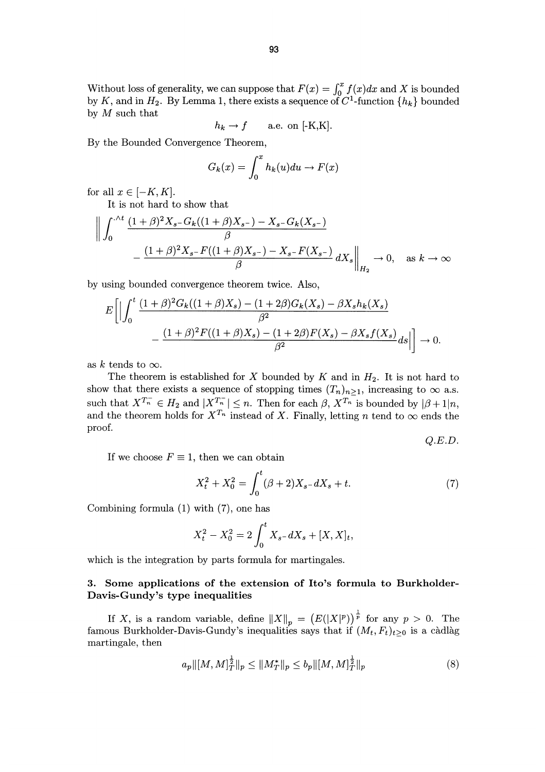Without loss of generality, we can suppose that  $F(x) = \int_0^x f(x) dx$  and X is bounded by K, and in  $H_2$ . By Lemma 1, there exists a sequence of  $C^1$ -function  $\{h_k\}$  bounded by  $M$  such that

$$
h_k \to f \qquad \text{a.e. on } [-K,K].
$$

By the Bounded Convergence Theorem,

$$
G_k(x) = \int_0^x h_k(u) du \to F(x)
$$

for all  $x \in [-K, K]$ .

It is not hard to show that

$$
\left\| \int_0^{\cdot \wedge t} \frac{(1+\beta)^2 X_{s-} G_k((1+\beta)X_{s-}) - X_{s-} G_k(X_{s-})}{\beta} - \frac{(1+\beta)^2 X_{s-} F((1+\beta)X_{s-}) - X_{s-} F(X_{s-})}{\beta} dX_s \right\|_{H_2} \to 0, \quad \text{as } k \to \infty
$$

by using bounded convergence theorem twice. Also,

$$
E\left[\Big|\int_0^t \frac{(1+\beta)^2 G_k((1+\beta)X_s) - (1+2\beta)G_k(X_s) - \beta X_s h_k(X_s)}{\beta^2} - \frac{(1+\beta)^2 F((1+\beta)X_s) - (1+2\beta)F(X_s) - \beta X_s f(X_s)}{\beta^2} ds\Big|\right] \to 0.
$$

as k tends to  $\infty$ .

The theorem is established for X bounded by K and in  $H_2$ . It is not hard to show that there exists a sequence of stopping times  $(T_n)_{n\geq 1}$ , increasing to  $\infty$  a.s. such that  $X^{T_n} \in H_2$  and  $|X^{T_n}| \leq n$ . Then for each  $\beta$ ,  $X^{T_n}$  is bounded by  $|\beta + 1|n$ and the theorem holds for  $X^{T_n}$  instead of X. Finally, letting n tend to  $\infty$  ends the proof.

Q.E.D.

If we choose  $F \equiv 1$ , then we can obtain

$$
X_t^2 + X_0^2 = \int_0^t (\beta + 2)X_{s-}dX_s + t.
$$
 (7)

Combining formula (1) with (7), one has

$$
X_t^2 - X_0^2 = 2 \int_0^t X_{s-} dX_s + [X, X]_t,
$$

which is the integration by parts formula for martingales.

## 3. Some applications of the extension of Ito's formula to Burkholder-Davis-Gundy's type inequalities

If X, is a random variable, define  $||X||_p = (E(|X|^p))^{\frac{1}{p}}$  for any  $p > 0$ . The famous Burkholder-Davis-Gundy's inequalities says that if  $(M_t, F_t)_{t\geq 0}$  is a càdlàg martingale, then

$$
a_p \|[M,M]_T^{\frac{1}{2}}\|_p \le \|M_T^*\|_p \le b_p \|[M,M]_T^{\frac{1}{2}}\|_p \tag{8}
$$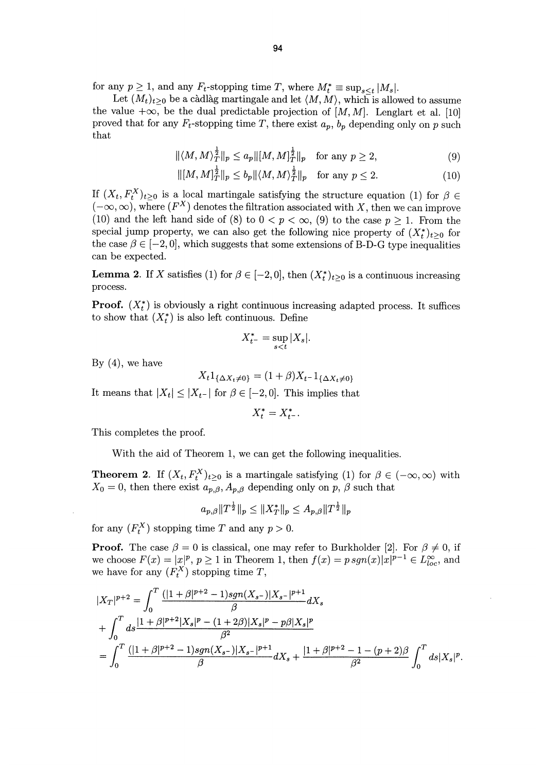for any  $p \geq 1$ , and any  $F_t$ -stopping time T, where  $M_t^* \equiv \sup_{s \leq t} |M_s|$ .

Let  $(M_t)_{t\geq 0}$  be a càdlàg martingale and let  $\langle M, M \rangle$ , which is allowed to assume the value  $+\infty$ , be the dual predictable projection of  $[M, M]$ . Lenglart et al. [10] proved that for any  $F_t$ -stopping time T, there exist  $a_p$ ,  $b_p$  depending only on p such that

$$
\|\langle M, M \rangle_T^{\frac{1}{2}}\|_p \le a_p \|[M, M]_T^{\frac{1}{2}}\|_p \quad \text{for any } p \ge 2,
$$
 (9)

$$
\| [M, M]_T^{\frac{1}{2}} \|_p \le b_p \| \langle M, M \rangle_T^{\frac{1}{2}} \|_p \quad \text{for any } p \le 2. \tag{10}
$$

If  $(X_t, F_t^X)_{t\geq 0}$  is a local martingale satisfying the structure equation (1) for  $\beta \in$  $(-\infty, \infty)$ , where  $(F^X)$  denotes the filtration associated with X, then we can improve (10) and the left hand side of (8) to  $0 < p < \infty$ , (9) to the case  $p \ge 1$ . From the special jump property, we can also get the following nice property of  $(X_t^*)_{t>0}$  for the case  $\beta \in [-2,0]$ , which suggests that some extensions of B-D-G type inequalities can be expected.

**Lemma 2.** If X satisfies (1) for  $\beta \in [-2,0]$ , then  $(X_t^*)_{t\geq 0}$  is a continuous increasing process.

**Proof.**  $(X_t^*)$  is obviously a right continuous increasing adapted process. It suffices to show that  $(X_t^*)$  is also left continuous. Define

$$
X_{t^-}^* = \sup_{s < t} |X_s|.
$$

By  $(4)$ , we have

$$
X_t 1_{\{\Delta X_t \neq 0\}} = (1+\beta) X_{t^-} 1_{\{\Delta X_t \neq 0\}}
$$

It means that  $|X_t| \leq |X_{t-}|$  for  $\beta \in [-2,0]$ . This implies that

 $X_t^* = X_{t^-}^*$ .

This completes the proof.

With the aid of Theorem 1, we can get the following inequalities.

**Theorem 2.** If  $(X_t, F_t^X)_{t \geq 0}$  is a martingale satisfying (1) for  $\beta \in (-\infty, \infty)$  with  $X_0 = 0$ , then there exist  $a_{p,\beta}, A_{p,\beta}$  depending only on p,  $\beta$  such that

$$
a_{p,\beta} \|T^{\frac{1}{2}}\|_p \le \|X^*_T\|_p \le A_{p,\beta} \|T^{\frac{1}{2}}\|_p
$$

for any  $(F_t^X)$  stopping time T and any  $p > 0$ .

**Proof.** The case  $\beta = 0$  is classical, one may refer to Burkholder [2]. For  $\beta \neq 0$ , if we choose  $F(x) = |x|^p$ ,  $p \ge 1$  in Theorem 1, then  $f(x) = p \, sgn(x)|x|^{p-1} \in L^{\infty}_{loc}$ , and we have for any  $(F_t^X)$  stopping time T,

$$
\begin{split} &|X_T|^{p+2} = \int_0^T \frac{(|1+\beta|^{p+2}-1)sgn(X_{s-})|X_{s-}|^{p+1}}{\beta} dX_s \\ &+ \int_0^T ds \frac{|1+\beta|^{p+2}|X_s|^p - (1+2\beta)|X_s|^p - p\beta|X_s|^p}{\beta^2} \\ & = \int_0^T \frac{(|1+\beta|^{p+2}-1)sgn(X_{s-})|X_{s-}|^{p+1}}{\beta} dX_s + \frac{|1+\beta|^{p+2}-1 - (p+2)\beta}{\beta^2} \int_0^T ds |X_s|^p. \end{split}
$$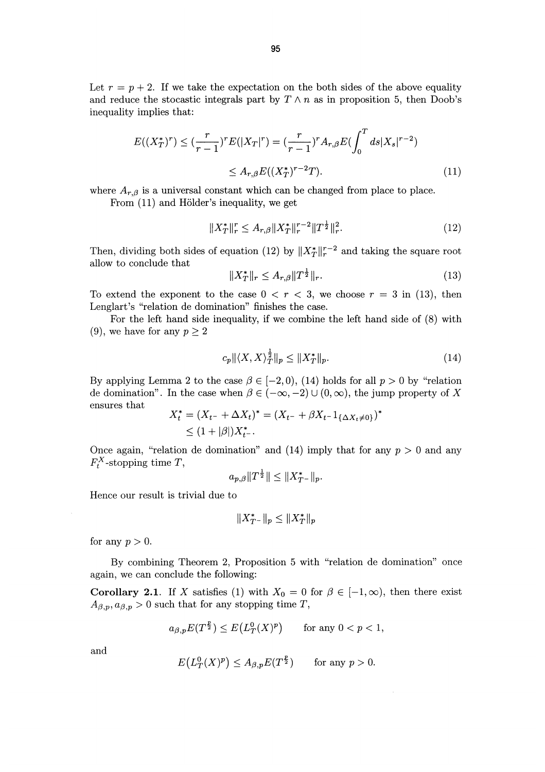Let  $r = p + 2$ . If we take the expectation on the both sides of the above equality and reduce the stocastic integrals part by  $T \wedge n$  as in proposition 5, then Doob's inequality implies that:

$$
E((X_T^*)^r) \le (\frac{r}{r-1})^r E(|X_T|^r) = (\frac{r}{r-1})^r A_{r,\beta} E(\int_0^T ds |X_s|^{r-2})
$$
  

$$
\le A_{r,\beta} E((X_T^*)^{r-2}T).
$$
 (11)

where  $A_{r,\beta}$  is a universal constant which can be changed from place to place.

From  $(11)$  and Hölder's inequality, we get

$$
||X_T^*||_r^r \le A_{r,\beta}||X_T^*||_r^{r-2}||T^{\frac{1}{2}}||_r^2.
$$
\n(12)

Then, dividing both sides of equation (12) by  $||X^*_{T}||_r^{r-2}$  and taking the square root allow to conclude that

$$
||X^*_T||_r \le A_{r,\beta}||T^{\frac{1}{2}}||_r.
$$
\n(13)

To extend the exponent to the case  $0 < r < 3$ , we choose  $r = 3$  in (13), then Lenglart's "relation de domination" finishes the case.

For the left hand side inequality, if we combine the left hand side of (8) with (9), we have for any  $p \geq 2$ 

$$
c_p \|\langle X, X \rangle_T^{\frac{1}{2}}\|_p \le \|X_T^*\|_p. \tag{14}
$$

By applying Lemma 2 to the case  $\beta \in [-2, 0), (14)$  holds for all  $p > 0$  by "relation de domination". In the case when  $\beta \in (-\infty, -2) \cup (0, \infty)$ , the jump property of X ensures that

$$
X_t^* = (X_{t-} + \Delta X_t)^* = (X_{t-} + \beta X_{t-} 1_{\{\Delta X_t \neq 0\}})^*
$$
  
\$\leq (1 + |\beta|)X\_t^\*.

Once again, "relation de domination" and (14) imply that for any  $p > 0$  and any  $F_t^X$ -stopping time T,

$$
a_{p,\beta}||T^{\frac{1}{2}}|| \leq ||X^*_{T^-}||_p.
$$

Hence our result is trivial due to

$$
||X^*_{T^-}||_p \leq ||X^*_{T}||_p
$$

for any  $p > 0$ .

By combining Theorem 2, Proposition 5 with "relation de domination" once again, we can conclude the following:

Corollary 2.1. If X satisfies (1) with  $X_0 = 0$  for  $\beta \in [-1, \infty)$ , then there exist  $A_{\beta,p}, a_{\beta,p} > 0$  such that for any stopping time T,

$$
a_{\beta,p}E(T^{\frac{p}{2}}) \le E\big(L_T^0(X)^p\big) \qquad \text{for any } 0 < p < 1,
$$

and

$$
E\big(L^0_T(X)^p\big) \leq A_{\beta,p}E(T^{\frac{p}{2}}) \qquad \text{for any } p > 0.
$$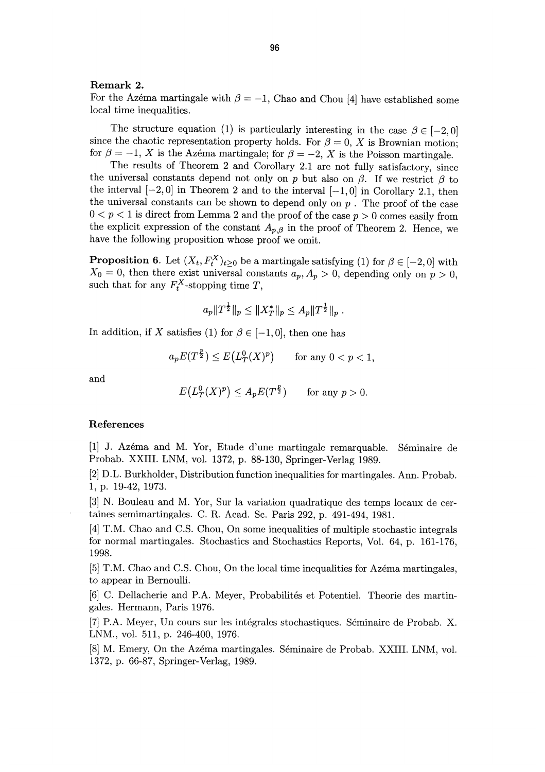#### Remark 2.

For the Azema martingale with  $\beta = -1$ , Chao and Chou [4] have established some local time inequalities.

The structure equation (1) is particularly interesting in the case  $\beta \in [-2,0]$  since the chaotic representation property holds. For  $\beta = 0$ , X is Brownian motion; for  $\beta = -1$ , X is the Azema martingale; for  $\beta = -2$ , X is the Poisson martingale.

The results of Theorem 2 and Corollary 2.1 are not fully satisfactory, since the universal constants depend not only on p but also on  $\beta$ . If we restrict  $\beta$  to the interval  $[-2, 0]$  in Theorem 2 and to the interval  $[-1, 0]$  in Corollary 2.1, then the universal constants can be shown to depend only on  $p$ . The proof of the case  $0 < p < 1$  is direct from Lemma 2 and the proof of the case  $p > 0$  comes easily from the explicit expression of the constant  $A_{p,\beta}$  in the proof of Theorem 2. Hence, we have the following proposition whose proof we omit.

**Proposition 6.** Let  $(X_t, F_t^X)_{t \geq 0}$  be a martingale satisfying (1) for  $\beta \in [-2, 0]$  with  $X_0 = 0$ , then there exist universal constants  $a_p, A_p > 0$ , depending only on  $p > 0$ such that for any  $F_t^{\Lambda}$ -stopping time T,

$$
a_p||T^{\frac{1}{2}}||_p \leq ||X^*_T||_p \leq A_p||T^{\frac{1}{2}}||_p.
$$

In addition, if X satisfies (1) for  $\beta \in [-1,0]$ , then one has

$$
a_p E(T^{\frac{p}{2}}) \le E\left(L_T^0(X)^p\right) \qquad \text{for any } 0 < p < 1,
$$

and

$$
E\left(L_T^0(X)^p\right) \le A_p E(T^{\frac{p}{2}}) \qquad \text{for any } p > 0.
$$

## References

[1] J. Azéma and M. Yor, Etude d'une martingale remarquable. Séminaire de Probab. XXIII. LNM, vol. 1372, p. 88-130, Springer-Verlag 1989.

[2] D.L. Burkholder, Distribution function inequalities for martingales. Ann. Probab. 1, p. 19-42, 1973.

[3] N. Bouleau and M. Yor, Sur la variation quadratique des temps locaux de certaines semimartingales. C. R. Acad. Sc. Paris 292, p. 491-494, 1981.

[4] T.M. Chao and C.S. Chou, On some inequalities of multiple stochastic integrals for normal martingales. Stochastics and Stochastics Reports, Vol. 64, p. 161-176, 1998.

[5] T.M. Chao and C.S. Chou, On the local time inequalities for Azéma martingales, to appear in Bernoulli.

[6] C. Dellacherie and P.A. Meyer, Probabilités et Potentiel. Theorie des martingales. Hermann, Paris 1976.

[7] P.A. Meyer, Un cours sur les intégrales stochastiques. Séminaire de Probab. X. LNM., vol. 511, p. 246-400, 1976.

[8] M. Emery, On the Azéma martingales. Séminaire de Probab. XXIII. LNM, vol. 1372, p. 66-87, Springer-Verlag, 1989.